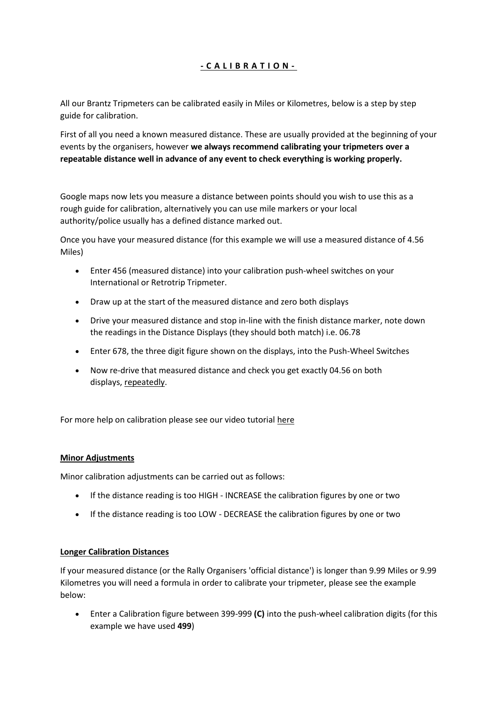# **- C A L I B R A T I O N -**

All our Brantz Tripmeters can be calibrated easily in Miles or Kilometres, below is a step by step guide for calibration.

First of all you need a known measured distance. These are usually provided at the beginning of your events by the organisers, however **we always recommend calibrating your tripmeters over a repeatable distance well in advance of any event to check everything is working properly.**

Google maps now lets you measure a distance between points should you wish to use this as a rough guide for calibration, alternatively you can use mile markers or your local authority/police usually has a defined distance marked out.

Once you have your measured distance (for this example we will use a measured distance of 4.56 Miles)

- Enter 456 (measured distance) into your calibration push-wheel switches on your International or Retrotrip Tripmeter.
- Draw up at the start of the measured distance and zero both displays
- Drive your measured distance and stop in-line with the finish distance marker, note down the readings in the Distance Displays (they should both match) i.e. 06.78
- Enter 678, the three digit figure shown on the displays, into the Push-Wheel Switches
- Now re-drive that measured distance and check you get exactly 04.56 on both displays, repeatedly.

For more help on calibration please see our video tutorial here

### **Minor Adjustments**

Minor calibration adjustments can be carried out as follows:

- If the distance reading is too HIGH INCREASE the calibration figures by one or two
- If the distance reading is too LOW DECREASE the calibration figures by one or two

### **Longer Calibration Distances**

If your measured distance (or the Rally Organisers 'official distance') is longer than 9.99 Miles or 9.99 Kilometres you will need a formula in order to calibrate your tripmeter, please see the example below:

 Enter a Calibration figure between 399-999 **(C)** into the push-wheel calibration digits (for this example we have used **499**)